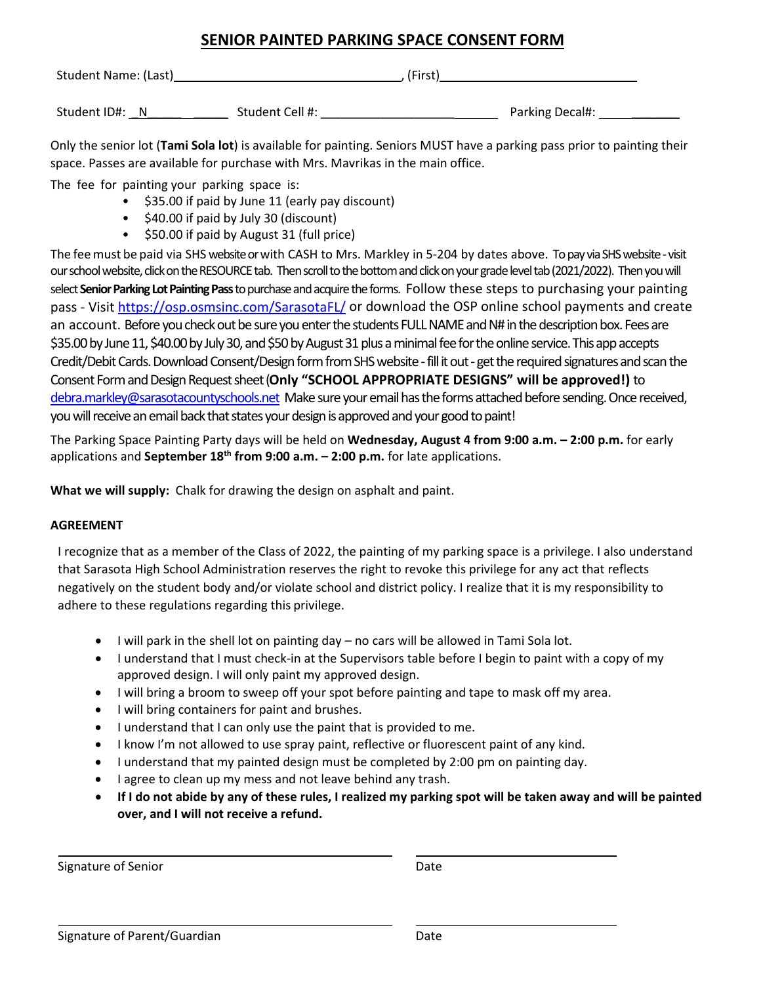## **SENIOR PAINTED PARKING SPACE CONSENT FORM**

| Student Name: (Last) |                 | (First) |                 |  |
|----------------------|-----------------|---------|-----------------|--|
| Student ID#: N       | Student Cell #: |         | Parking Decal#: |  |

Only the senior lot (**Tami Sola lot**) is available for painting. Seniors MUST have a parking pass prior to painting their space. Passes are available for purchase with Mrs. Mavrikas in the main office.

The fee for painting your parking space is:

- \$35.00 if paid by June 11 (early pay discount)
- \$40.00 if paid by July 30 (discount)
- \$50.00 if paid by August 31 (full price)

The feemust be paid via SHS websiteor with CASH to Mrs. Markley in 5-204 by dates above. To pay via SHS website -visit our school website, click on the RESOURCE tab. Then scroll to the bottom and click on your grade level tab (2021/2022). Then you will select **Senior Parking Lot Painting Pass** to purchase and acquire the forms. Follow these steps to purchasing your painting pass - Visit<https://osp.osmsinc.com/SarasotaFL/> or download the OSP online school payments and create an account. Before you check out be sure you enter the students FULL NAME and N# in the description box. Fees are \$35.00 by June 11, \$40.00 by July 30, and \$50 by August 31 plus a minimal fee for the online service. This app accepts Credit/Debit Cards. Download Consent/Design form from SHS website - fill it out - get the required signatures and scan the Consent Formand Design Request sheet(**Only "SCHOOL APPROPRIATE DESIGNS" will be approved!)** to [debra.markley@sarasotacountyschools.net](mailto:debra.markley@sarasotacountyschools.net) Make sure your email has the forms attached before sending. Once received, you will receive an email back that states your design is approved and your good to paint!

The Parking Space Painting Party days will be held on **Wednesday, August 4 from 9:00 a.m. – 2:00 p.m.** for early applications and **September 18th from 9:00 a.m. – 2:00 p.m.** for late applications.

**What we will supply:** Chalk for drawing the design on asphalt and paint.

## **AGREEMENT**

I recognize that as a member of the Class of 2022, the painting of my parking space is a privilege. I also understand that Sarasota High School Administration reserves the right to revoke this privilege for any act that reflects negatively on the student body and/or violate school and district policy. I realize that it is my responsibility to adhere to these regulations regarding this privilege.

- I will park in the shell lot on painting day no cars will be allowed in Tami Sola lot.
- I understand that I must check-in at the Supervisors table before I begin to paint with a copy of my approved design. I will only paint my approved design.
- I will bring a broom to sweep off your spot before painting and tape to mask off my area.
- I will bring containers for paint and brushes.
- I understand that I can only use the paint that is provided to me.
- I know I'm not allowed to use spray paint, reflective or fluorescent paint of any kind.
- I understand that my painted design must be completed by 2:00 pm on painting day.
- I agree to clean up my mess and not leave behind any trash.
- **If I do not abide by any of these rules, I realized my parking spot will be taken away and will be painted over, and I will not receive a refund.**

Signature of Senior **Date**